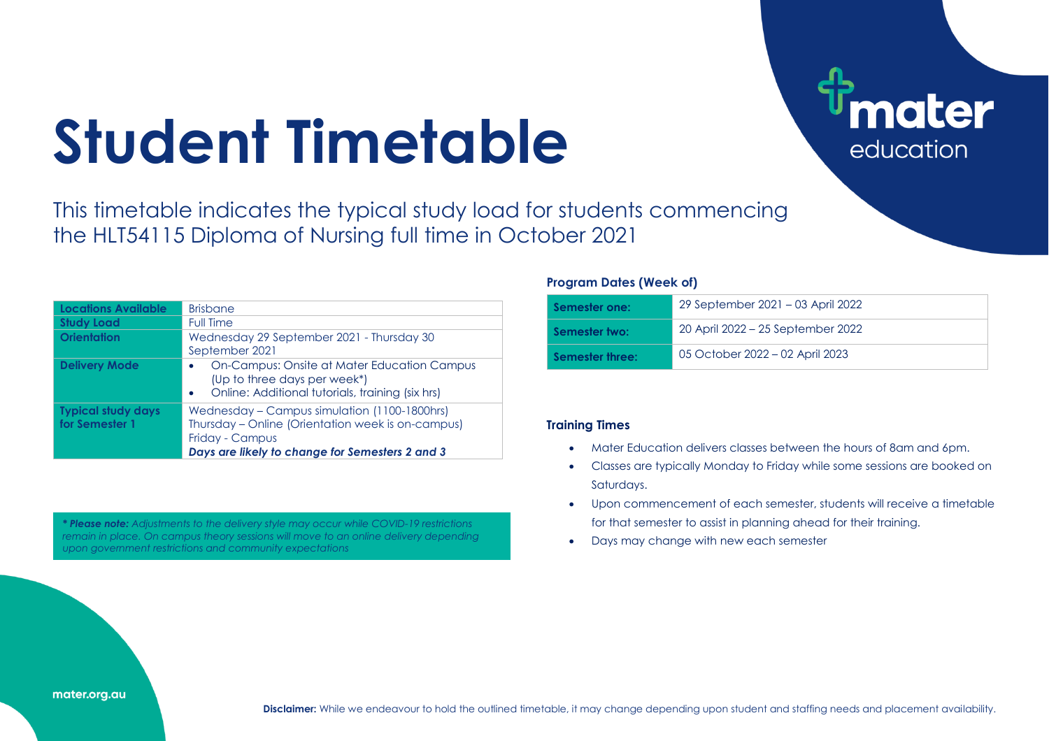# **Student Timetable**

This timetable indicates the typical study load for students commencing the HLT54115 Diploma of Nursing full time in October 2021

| <b>Locations Available</b>                  | <b>Brisbane</b>                                                                                                                                                         |
|---------------------------------------------|-------------------------------------------------------------------------------------------------------------------------------------------------------------------------|
| <b>Study Load</b>                           | <b>Full Time</b>                                                                                                                                                        |
| <b>Orientation</b>                          | Wednesday 29 September 2021 - Thursday 30                                                                                                                               |
|                                             | September 2021                                                                                                                                                          |
| <b>Delivery Mode</b>                        | On-Campus: Onsite at Mater Education Campus<br>(Up to three days per week*)<br>Online: Additional tutorials, training (six hrs)                                         |
| <b>Typical study days</b><br>for Semester 1 | Wednesday - Campus simulation (1100-1800hrs)<br>Thursday – Online (Orientation week is on-campus)<br>Friday - Campus<br>Days are likely to change for Semesters 2 and 3 |

*\* Please note: Adjustments to the delivery style may occur while COVID-19 restrictions remain in place. On campus theory sessions will move to an online delivery depending upon government restrictions and community expectations*

#### **Program Dates (Week of)**

| Semester one:   | 29 September 2021 – 03 April 2022 |
|-----------------|-----------------------------------|
| Semester two:   | 20 April 2022 – 25 September 2022 |
| Semester three: | 05 October 2022 – 02 April 2023   |

ater

education

#### **Training Times**

- Mater Education delivers classes between the hours of 8am and 6pm.
- Classes are typically Monday to Friday while some sessions are booked on Saturdays.
- Upon commencement of each semester, students will receive a timetable for that semester to assist in planning ahead for their training.
- Days may change with new each semester